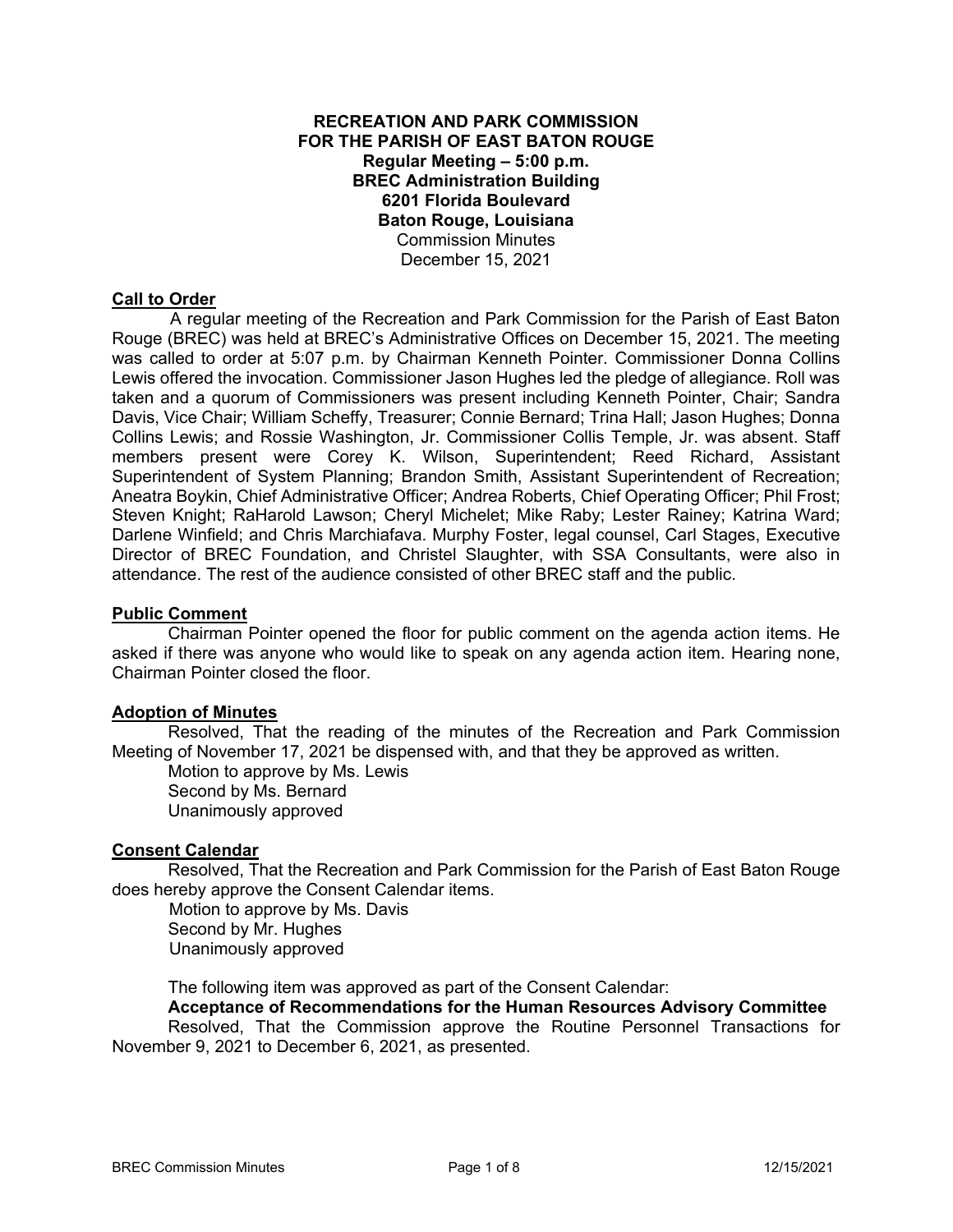# **RECREATION AND PARK COMMISSION FOR THE PARISH OF EAST BATON ROUGE Regular Meeting – 5:00 p.m. BREC Administration Building 6201 Florida Boulevard Baton Rouge, Louisiana**  Commission Minutes December 15, 2021

# **Call to Order**

 A regular meeting of the Recreation and Park Commission for the Parish of East Baton Rouge (BREC) was held at BREC's Administrative Offices on December 15, 2021. The meeting was called to order at 5:07 p.m. by Chairman Kenneth Pointer. Commissioner Donna Collins Lewis offered the invocation. Commissioner Jason Hughes led the pledge of allegiance. Roll was taken and a quorum of Commissioners was present including Kenneth Pointer, Chair; Sandra Davis, Vice Chair; William Scheffy, Treasurer; Connie Bernard; Trina Hall; Jason Hughes; Donna Collins Lewis; and Rossie Washington, Jr. Commissioner Collis Temple, Jr. was absent. Staff members present were Corey K. Wilson, Superintendent; Reed Richard, Assistant Superintendent of System Planning; Brandon Smith, Assistant Superintendent of Recreation; Aneatra Boykin, Chief Administrative Officer; Andrea Roberts, Chief Operating Officer; Phil Frost; Steven Knight; RaHarold Lawson; Cheryl Michelet; Mike Raby; Lester Rainey; Katrina Ward; Darlene Winfield; and Chris Marchiafava. Murphy Foster, legal counsel, Carl Stages, Executive Director of BREC Foundation, and Christel Slaughter, with SSA Consultants, were also in attendance. The rest of the audience consisted of other BREC staff and the public.

#### **Public Comment**

Chairman Pointer opened the floor for public comment on the agenda action items. He asked if there was anyone who would like to speak on any agenda action item. Hearing none, Chairman Pointer closed the floor.

#### **Adoption of Minutes**

Resolved, That the reading of the minutes of the Recreation and Park Commission Meeting of November 17, 2021 be dispensed with, and that they be approved as written.

Motion to approve by Ms. Lewis Second by Ms. Bernard Unanimously approved

## **Consent Calendar**

Resolved, That the Recreation and Park Commission for the Parish of East Baton Rouge does hereby approve the Consent Calendar items.

 Motion to approve by Ms. Davis Second by Mr. Hughes Unanimously approved

The following item was approved as part of the Consent Calendar:

#### **Acceptance of Recommendations for the Human Resources Advisory Committee**

 Resolved, That the Commission approve the Routine Personnel Transactions for November 9, 2021 to December 6, 2021, as presented.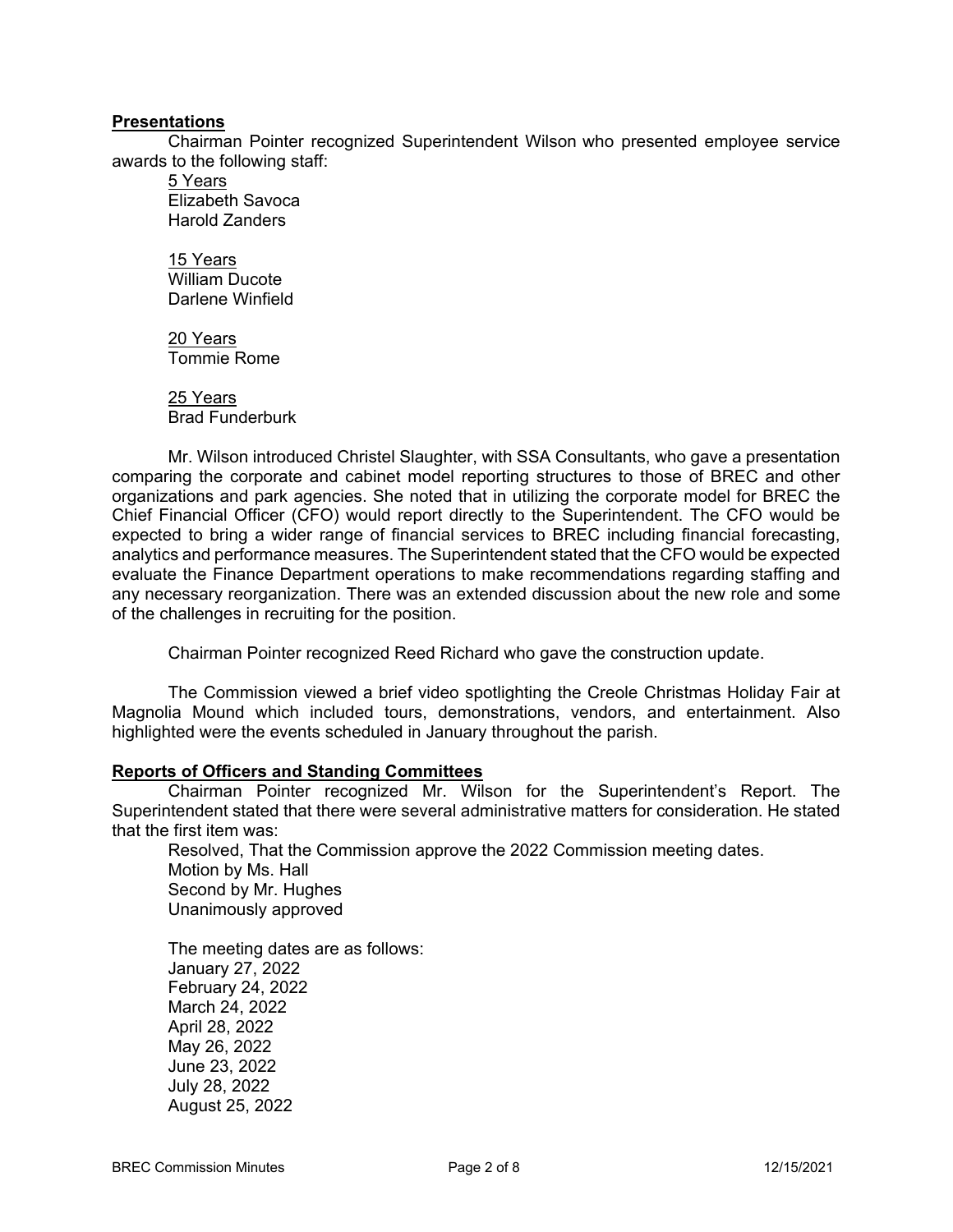#### **Presentations**

Chairman Pointer recognized Superintendent Wilson who presented employee service awards to the following staff:

5 Years Elizabeth Savoca Harold Zanders

15 Years William Ducote Darlene Winfield

20 Years Tommie Rome

25 Years Brad Funderburk

Mr. Wilson introduced Christel Slaughter, with SSA Consultants, who gave a presentation comparing the corporate and cabinet model reporting structures to those of BREC and other organizations and park agencies. She noted that in utilizing the corporate model for BREC the Chief Financial Officer (CFO) would report directly to the Superintendent. The CFO would be expected to bring a wider range of financial services to BREC including financial forecasting, analytics and performance measures. The Superintendent stated that the CFO would be expected evaluate the Finance Department operations to make recommendations regarding staffing and any necessary reorganization. There was an extended discussion about the new role and some of the challenges in recruiting for the position.

Chairman Pointer recognized Reed Richard who gave the construction update.

The Commission viewed a brief video spotlighting the Creole Christmas Holiday Fair at Magnolia Mound which included tours, demonstrations, vendors, and entertainment. Also highlighted were the events scheduled in January throughout the parish.

## **Reports of Officers and Standing Committees**

Chairman Pointer recognized Mr. Wilson for the Superintendent's Report. The Superintendent stated that there were several administrative matters for consideration. He stated that the first item was:

Resolved, That the Commission approve the 2022 Commission meeting dates. Motion by Ms. Hall Second by Mr. Hughes Unanimously approved

The meeting dates are as follows: January 27, 2022 February 24, 2022 March 24, 2022 April 28, 2022 May 26, 2022 June 23, 2022 July 28, 2022 August 25, 2022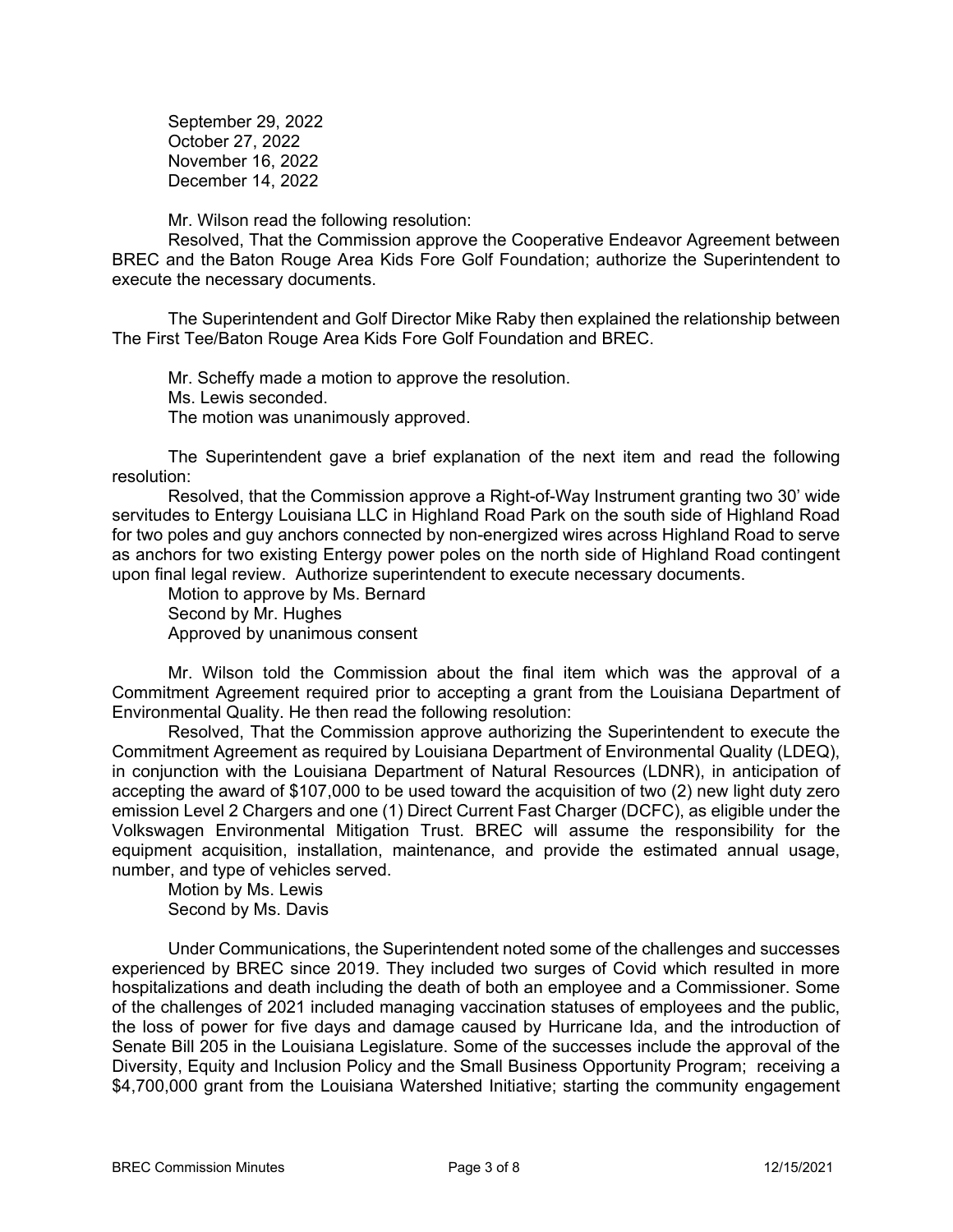September 29, 2022 October 27, 2022 November 16, 2022 December 14, 2022

Mr. Wilson read the following resolution:

Resolved, That the Commission approve the Cooperative Endeavor Agreement between BREC and the Baton Rouge Area Kids Fore Golf Foundation; authorize the Superintendent to execute the necessary documents.

The Superintendent and Golf Director Mike Raby then explained the relationship between The First Tee/Baton Rouge Area Kids Fore Golf Foundation and BREC.

Mr. Scheffy made a motion to approve the resolution. Ms. Lewis seconded. The motion was unanimously approved.

 The Superintendent gave a brief explanation of the next item and read the following resolution:

Resolved, that the Commission approve a Right-of-Way Instrument granting two 30' wide servitudes to Entergy Louisiana LLC in Highland Road Park on the south side of Highland Road for two poles and guy anchors connected by non-energized wires across Highland Road to serve as anchors for two existing Entergy power poles on the north side of Highland Road contingent upon final legal review. Authorize superintendent to execute necessary documents.

Motion to approve by Ms. Bernard Second by Mr. Hughes Approved by unanimous consent

Mr. Wilson told the Commission about the final item which was the approval of a Commitment Agreement required prior to accepting a grant from the Louisiana Department of Environmental Quality. He then read the following resolution:

Resolved, That the Commission approve authorizing the Superintendent to execute the Commitment Agreement as required by Louisiana Department of Environmental Quality (LDEQ), in conjunction with the Louisiana Department of Natural Resources (LDNR), in anticipation of accepting the award of \$107,000 to be used toward the acquisition of two (2) new light duty zero emission Level 2 Chargers and one (1) Direct Current Fast Charger (DCFC), as eligible under the Volkswagen Environmental Mitigation Trust. BREC will assume the responsibility for the equipment acquisition, installation, maintenance, and provide the estimated annual usage, number, and type of vehicles served.

Motion by Ms. Lewis Second by Ms. Davis

Under Communications, the Superintendent noted some of the challenges and successes experienced by BREC since 2019. They included two surges of Covid which resulted in more hospitalizations and death including the death of both an employee and a Commissioner. Some of the challenges of 2021 included managing vaccination statuses of employees and the public, the loss of power for five days and damage caused by Hurricane Ida, and the introduction of Senate Bill 205 in the Louisiana Legislature. Some of the successes include the approval of the Diversity, Equity and Inclusion Policy and the Small Business Opportunity Program; receiving a \$4,700,000 grant from the Louisiana Watershed Initiative; starting the community engagement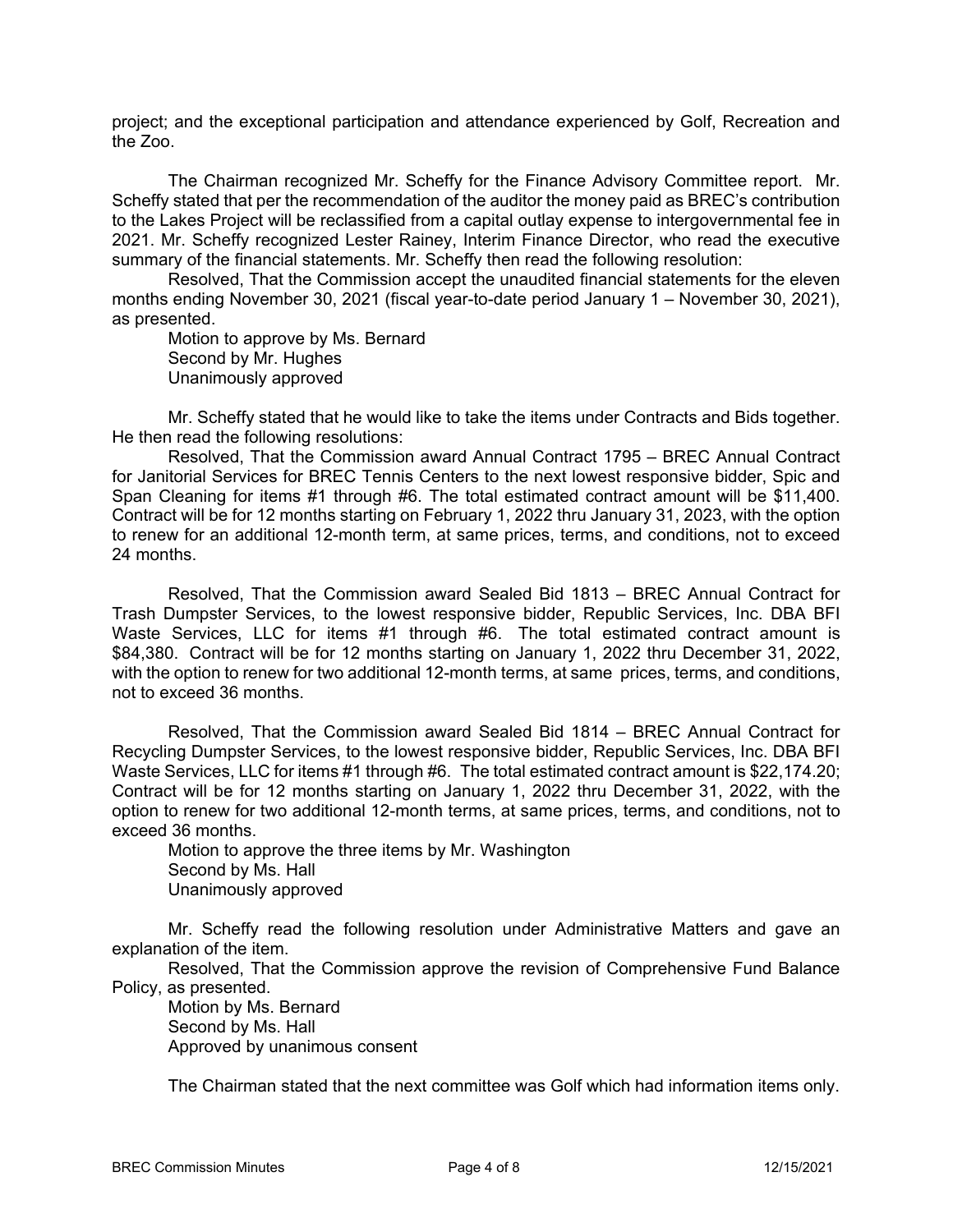project; and the exceptional participation and attendance experienced by Golf, Recreation and the Zoo.

The Chairman recognized Mr. Scheffy for the Finance Advisory Committee report. Mr. Scheffy stated that per the recommendation of the auditor the money paid as BREC's contribution to the Lakes Project will be reclassified from a capital outlay expense to intergovernmental fee in 2021. Mr. Scheffy recognized Lester Rainey, Interim Finance Director, who read the executive summary of the financial statements. Mr. Scheffy then read the following resolution:

Resolved, That the Commission accept the unaudited financial statements for the eleven months ending November 30, 2021 (fiscal year-to-date period January 1 – November 30, 2021), as presented.

Motion to approve by Ms. Bernard Second by Mr. Hughes Unanimously approved

Mr. Scheffy stated that he would like to take the items under Contracts and Bids together. He then read the following resolutions:

Resolved, That the Commission award Annual Contract 1795 – BREC Annual Contract for Janitorial Services for BREC Tennis Centers to the next lowest responsive bidder, Spic and Span Cleaning for items #1 through #6. The total estimated contract amount will be \$11,400. Contract will be for 12 months starting on February 1, 2022 thru January 31, 2023, with the option to renew for an additional 12-month term, at same prices, terms, and conditions, not to exceed 24 months.

Resolved, That the Commission award Sealed Bid 1813 – BREC Annual Contract for Trash Dumpster Services, to the lowest responsive bidder, Republic Services, Inc. DBA BFI Waste Services, LLC for items #1 through #6. The total estimated contract amount is \$84,380. Contract will be for 12 months starting on January 1, 2022 thru December 31, 2022, with the option to renew for two additional 12-month terms, at same prices, terms, and conditions, not to exceed 36 months.

Resolved, That the Commission award Sealed Bid 1814 – BREC Annual Contract for Recycling Dumpster Services, to the lowest responsive bidder, Republic Services, Inc. DBA BFI Waste Services, LLC for items #1 through #6. The total estimated contract amount is \$22,174.20; Contract will be for 12 months starting on January 1, 2022 thru December 31, 2022, with the option to renew for two additional 12-month terms, at same prices, terms, and conditions, not to exceed 36 months.

Motion to approve the three items by Mr. Washington Second by Ms. Hall Unanimously approved

Mr. Scheffy read the following resolution under Administrative Matters and gave an explanation of the item.

Resolved, That the Commission approve the revision of Comprehensive Fund Balance Policy, as presented.

Motion by Ms. Bernard Second by Ms. Hall Approved by unanimous consent

The Chairman stated that the next committee was Golf which had information items only.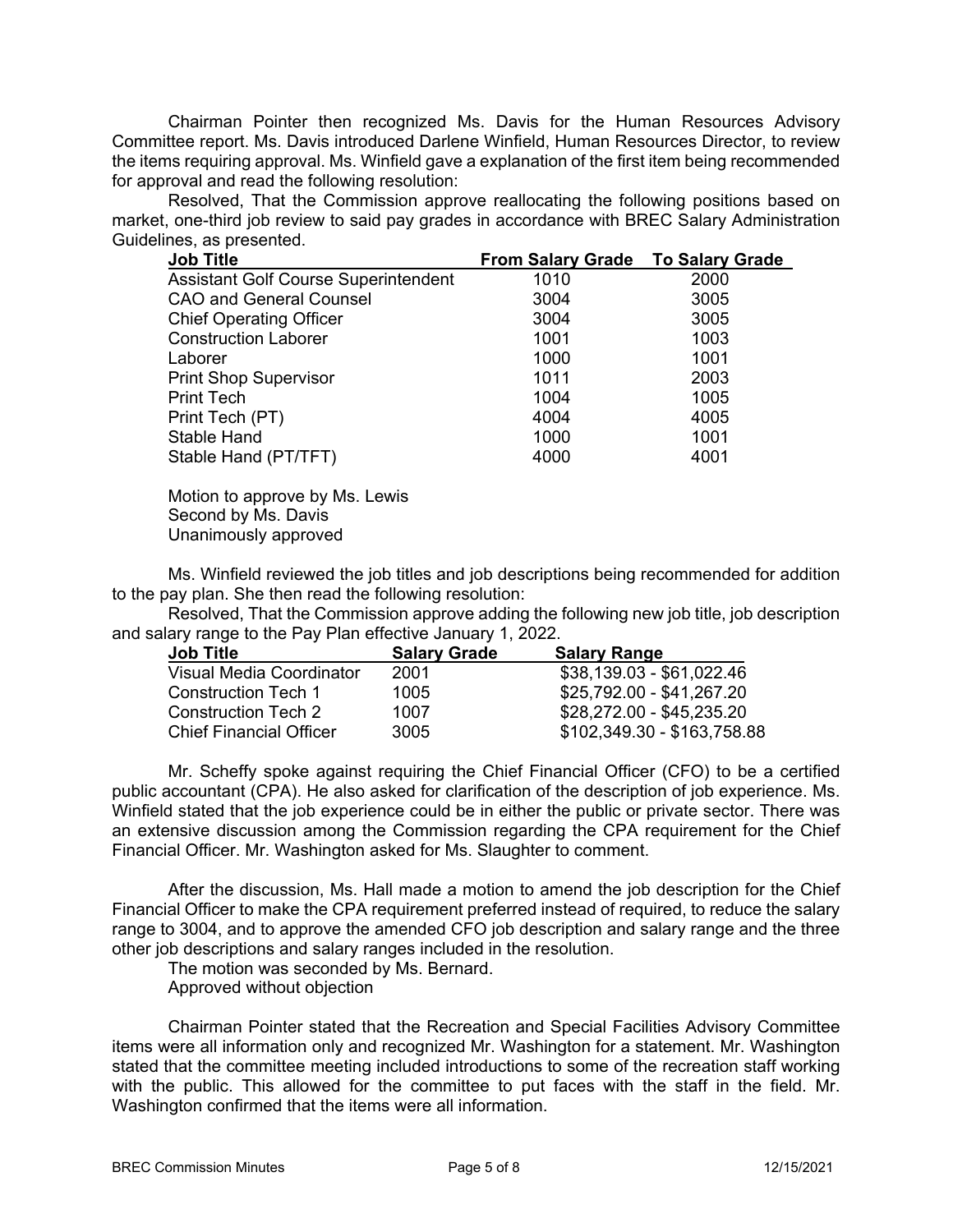Chairman Pointer then recognized Ms. Davis for the Human Resources Advisory Committee report. Ms. Davis introduced Darlene Winfield, Human Resources Director, to review the items requiring approval. Ms. Winfield gave a explanation of the first item being recommended for approval and read the following resolution:

Resolved, That the Commission approve reallocating the following positions based on market, one-third job review to said pay grades in accordance with BREC Salary Administration Guidelines, as presented.

| 1010 | 2000                              |
|------|-----------------------------------|
| 3004 | 3005                              |
| 3004 | 3005                              |
| 1001 | 1003                              |
| 1000 | 1001                              |
| 1011 | 2003                              |
| 1004 | 1005                              |
| 4004 | 4005                              |
| 1000 | 1001                              |
| 4000 | 4001                              |
|      | From Salary Grade To Salary Grade |

Motion to approve by Ms. Lewis Second by Ms. Davis Unanimously approved

Ms. Winfield reviewed the job titles and job descriptions being recommended for addition to the pay plan. She then read the following resolution:

Resolved, That the Commission approve adding the following new job title, job description and salary range to the Pay Plan effective January 1, 2022.

| <b>Job Title</b>               | <b>Salary Grade</b> | <b>Salary Range</b>         |
|--------------------------------|---------------------|-----------------------------|
| Visual Media Coordinator       | 2001                | \$38,139.03 - \$61,022.46   |
| Construction Tech 1            | 1005                | \$25,792.00 - \$41,267.20   |
| Construction Tech 2            | 1007                | \$28,272.00 - \$45,235.20   |
| <b>Chief Financial Officer</b> | 3005                | \$102,349.30 - \$163,758.88 |

 Mr. Scheffy spoke against requiring the Chief Financial Officer (CFO) to be a certified public accountant (CPA). He also asked for clarification of the description of job experience. Ms. Winfield stated that the job experience could be in either the public or private sector. There was an extensive discussion among the Commission regarding the CPA requirement for the Chief Financial Officer. Mr. Washington asked for Ms. Slaughter to comment.

After the discussion, Ms. Hall made a motion to amend the job description for the Chief Financial Officer to make the CPA requirement preferred instead of required, to reduce the salary range to 3004, and to approve the amended CFO job description and salary range and the three other job descriptions and salary ranges included in the resolution.

The motion was seconded by Ms. Bernard.

Approved without objection

 Chairman Pointer stated that the Recreation and Special Facilities Advisory Committee items were all information only and recognized Mr. Washington for a statement. Mr. Washington stated that the committee meeting included introductions to some of the recreation staff working with the public. This allowed for the committee to put faces with the staff in the field. Mr. Washington confirmed that the items were all information.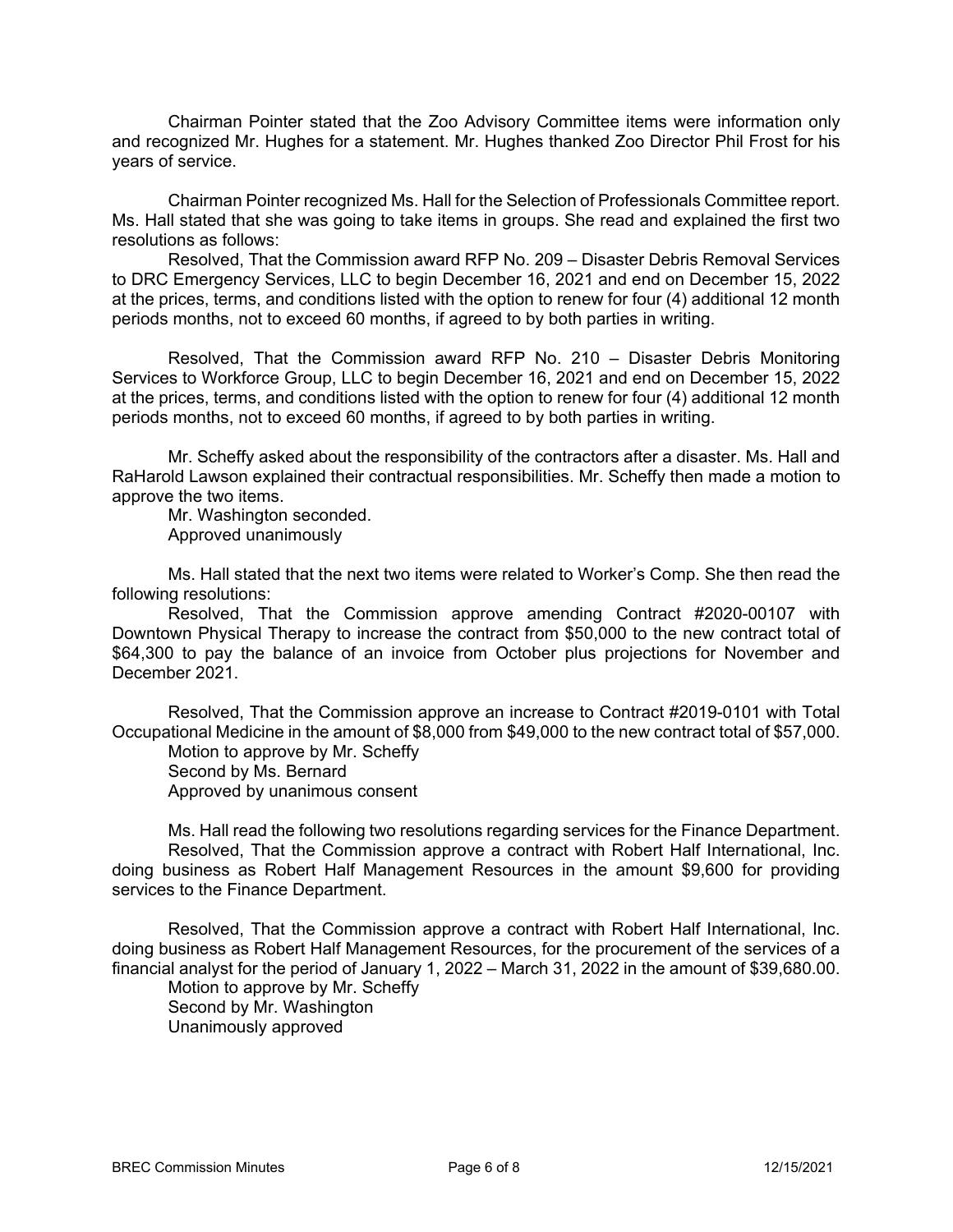Chairman Pointer stated that the Zoo Advisory Committee items were information only and recognized Mr. Hughes for a statement. Mr. Hughes thanked Zoo Director Phil Frost for his years of service.

Chairman Pointer recognized Ms. Hall for the Selection of Professionals Committee report. Ms. Hall stated that she was going to take items in groups. She read and explained the first two resolutions as follows:

Resolved, That the Commission award RFP No. 209 – Disaster Debris Removal Services to DRC Emergency Services, LLC to begin December 16, 2021 and end on December 15, 2022 at the prices, terms, and conditions listed with the option to renew for four (4) additional 12 month periods months, not to exceed 60 months, if agreed to by both parties in writing.

Resolved, That the Commission award RFP No. 210 – Disaster Debris Monitoring Services to Workforce Group, LLC to begin December 16, 2021 and end on December 15, 2022 at the prices, terms, and conditions listed with the option to renew for four (4) additional 12 month periods months, not to exceed 60 months, if agreed to by both parties in writing.

Mr. Scheffy asked about the responsibility of the contractors after a disaster. Ms. Hall and RaHarold Lawson explained their contractual responsibilities. Mr. Scheffy then made a motion to approve the two items.

Mr. Washington seconded. Approved unanimously

Ms. Hall stated that the next two items were related to Worker's Comp. She then read the following resolutions:

Resolved, That the Commission approve amending Contract #2020-00107 with Downtown Physical Therapy to increase the contract from \$50,000 to the new contract total of \$64,300 to pay the balance of an invoice from October plus projections for November and December 2021.

Resolved, That the Commission approve an increase to Contract #2019-0101 with Total Occupational Medicine in the amount of \$8,000 from \$49,000 to the new contract total of \$57,000.

 Motion to approve by Mr. Scheffy Second by Ms. Bernard Approved by unanimous consent

 Ms. Hall read the following two resolutions regarding services for the Finance Department. Resolved, That the Commission approve a contract with Robert Half International, Inc. doing business as Robert Half Management Resources in the amount \$9,600 for providing services to the Finance Department.

Resolved, That the Commission approve a contract with Robert Half International, Inc. doing business as Robert Half Management Resources, for the procurement of the services of a financial analyst for the period of January 1, 2022 – March 31, 2022 in the amount of \$39,680.00. Motion to approve by Mr. Scheffy Second by Mr. Washington

Unanimously approved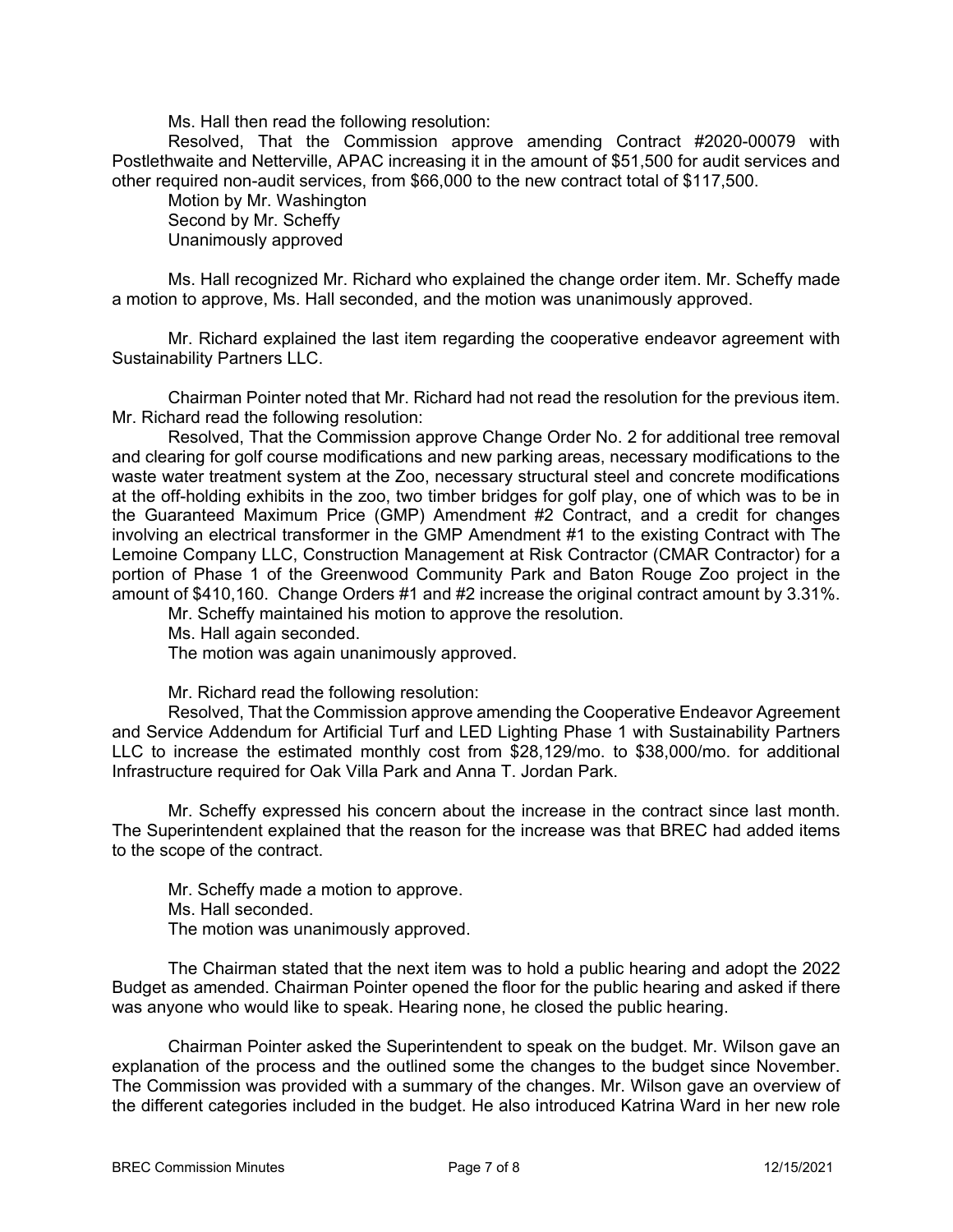Ms. Hall then read the following resolution:

Resolved, That the Commission approve amending Contract #2020-00079 with Postlethwaite and Netterville, APAC increasing it in the amount of \$51,500 for audit services and other required non-audit services, from \$66,000 to the new contract total of \$117,500.

Motion by Mr. Washington Second by Mr. Scheffy Unanimously approved

Ms. Hall recognized Mr. Richard who explained the change order item. Mr. Scheffy made a motion to approve, Ms. Hall seconded, and the motion was unanimously approved.

Mr. Richard explained the last item regarding the cooperative endeavor agreement with Sustainability Partners LLC.

Chairman Pointer noted that Mr. Richard had not read the resolution for the previous item. Mr. Richard read the following resolution:

Resolved, That the Commission approve Change Order No. 2 for additional tree removal and clearing for golf course modifications and new parking areas, necessary modifications to the waste water treatment system at the Zoo, necessary structural steel and concrete modifications at the off-holding exhibits in the zoo, two timber bridges for golf play, one of which was to be in the Guaranteed Maximum Price (GMP) Amendment #2 Contract, and a credit for changes involving an electrical transformer in the GMP Amendment #1 to the existing Contract with The Lemoine Company LLC, Construction Management at Risk Contractor (CMAR Contractor) for a portion of Phase 1 of the Greenwood Community Park and Baton Rouge Zoo project in the amount of \$410,160. Change Orders #1 and #2 increase the original contract amount by 3.31%.

Mr. Scheffy maintained his motion to approve the resolution.

Ms. Hall again seconded.

The motion was again unanimously approved.

Mr. Richard read the following resolution:

Resolved, That the Commission approve amending the Cooperative Endeavor Agreement and Service Addendum for Artificial Turf and LED Lighting Phase 1 with Sustainability Partners LLC to increase the estimated monthly cost from \$28,129/mo. to \$38,000/mo. for additional Infrastructure required for Oak Villa Park and Anna T. Jordan Park.

Mr. Scheffy expressed his concern about the increase in the contract since last month. The Superintendent explained that the reason for the increase was that BREC had added items to the scope of the contract.

Mr. Scheffy made a motion to approve. Ms. Hall seconded. The motion was unanimously approved.

 The Chairman stated that the next item was to hold a public hearing and adopt the 2022 Budget as amended. Chairman Pointer opened the floor for the public hearing and asked if there was anyone who would like to speak. Hearing none, he closed the public hearing.

 Chairman Pointer asked the Superintendent to speak on the budget. Mr. Wilson gave an explanation of the process and the outlined some the changes to the budget since November. The Commission was provided with a summary of the changes. Mr. Wilson gave an overview of the different categories included in the budget. He also introduced Katrina Ward in her new role